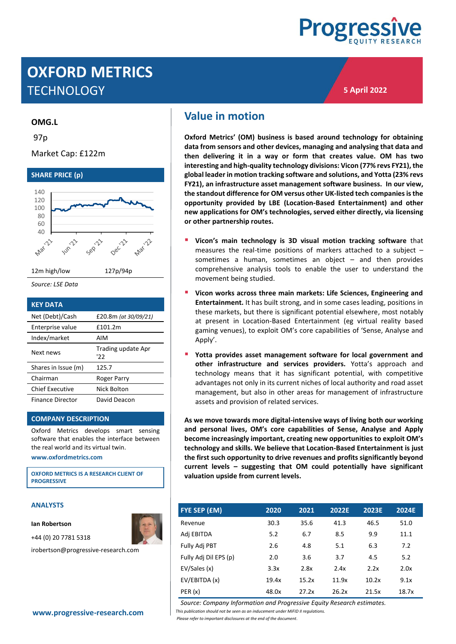

**5 April 2022**

# **OXFORD METRICS TECHNOLOGY**

#### **OMG.L**

97p

Market Cap: £122m



| <b>KEY DATA</b>         |                          |
|-------------------------|--------------------------|
| Net (Debt)/Cash         | £20.8m (at 30/09/21)     |
| Enterprise value        | £101.2m                  |
| Index/market            | AIM                      |
| Next news               | Trading update Apr<br>כי |
| Shares in Issue (m)     | 125.7                    |
| Chairman                | Roger Parry              |
| <b>Chief Executive</b>  | Nick Bolton              |
| <b>Finance Director</b> | David Deacon             |

#### **COMPANY DESCRIPTION**

Oxford Metrics develops smart sensing software that enables the interface between the real world and its virtual twin.

**[www.oxfordmetrics.com](http://www.oxfordmetrics.com/)**

**OXFORD METRICS IS A RESEARCH CLIENT OF PROGRESSIVE**

#### **ANALYSTS**

**Ian Robertson**

+44 (0) 20 7781 5318

irobertson@progressive-research.com

## <span id="page-0-0"></span>**Value in motion**

**Oxford Metrics' (OM) business is based around technology for obtaining data from sensors and other devices, managing and analysing that data and then delivering it in a way or form that creates value. OM has two interesting and high-quality technology divisions: Vicon (77% revs FY21), the global leader in motion tracking software and solutions, and Yotta (23% revs FY21), an infrastructure asset management software business. In our view, the standout difference for OM versus other UK-listed tech companiesis the opportunity provided by LBE (Location-Based Entertainment) and other new applications for OM's technologies, served either directly, via licensing or other partnership routes.**

- Vicon's main technology is 3D visual motion tracking software that measures the real-time positions of markers attached to a subject – sometimes a human, sometimes an object – and then provides comprehensive analysis tools to enable the user to understand the movement being studied.
- Vicon works across three main markets: Life Sciences, Engineering and **Entertainment.** It has built strong, and in some cases leading, positions in these markets, but there is significant potential elsewhere, most notably at present in Location-Based Entertainment (eg virtual reality based gaming venues), to exploit OM's core capabilities of 'Sense, Analyse and Apply'.
- Yotta provides asset management software for local government and **other infrastructure and services providers.** Yotta's approach and technology means that it has significant potential, with competitive advantages not only in its current niches of local authority and road asset management, but also in other areas for management of infrastructure assets and provision of related services.

**As we move towards more digital-intensive ways of living both our working and personal lives, OM's core capabilities of Sense, Analyse and Apply become increasingly important, creating new opportunities to exploit OM's technology and skills. We believe that Location-Based Entertainment is just the first such opportunity to drive revenues and profits significantly beyond current levels – suggesting that OM could potentially have significant valuation upside from current levels.**

| FYE SEP (£M)          | 2020  | 2021  | 2022E | 2023E | 2024E |
|-----------------------|-------|-------|-------|-------|-------|
| Revenue               | 30.3  | 35.6  | 41.3  | 46.5  | 51.0  |
| Adj EBITDA            | 5.2   | 6.7   | 8.5   | 9.9   | 11.1  |
| Fully Adj PBT         | 2.6   | 4.8   | 5.1   | 6.3   | 7.2   |
| Fully Adj Dil EPS (p) | 2.0   | 3.6   | 3.7   | 4.5   | 5.2   |
| EV/Sales (x)          | 3.3x  | 2.8x  | 2.4x  | 2.2x  | 2.0x  |
| EV/EBITDA (x)         | 19.4x | 15.2x | 11.9x | 10.2x | 9.1x  |
| PER(x)                | 48.0x | 27.2x | 26.2x | 21.5x | 18.7x |

*Source: Company Information and Progressive Equity Research estimates.*

**[www.progressive-research.com](http://www.progressive-research.com/)** *This publication should not be seen as an inducement under MiFID II regulations.*

*Please refer to important disclosures at the end of the document*.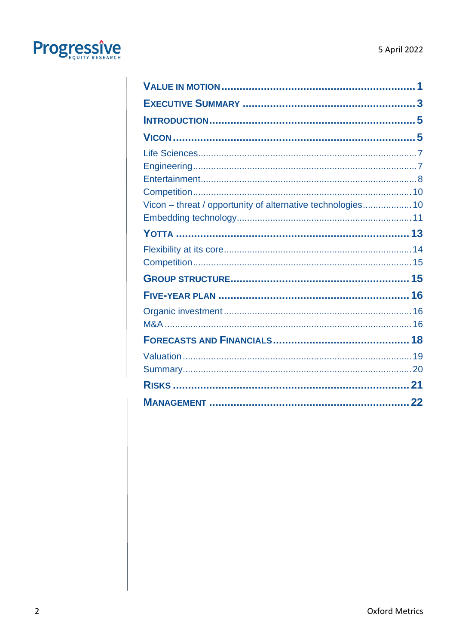

| Vicon - threat / opportunity of alternative technologies10 |  |
|------------------------------------------------------------|--|
|                                                            |  |
|                                                            |  |
|                                                            |  |
|                                                            |  |
|                                                            |  |
|                                                            |  |
|                                                            |  |
|                                                            |  |
|                                                            |  |
|                                                            |  |
|                                                            |  |
|                                                            |  |
|                                                            |  |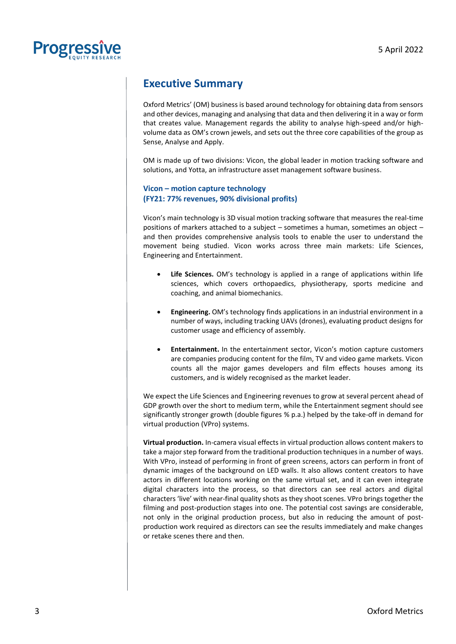

## <span id="page-2-0"></span>**Executive Summary**

Oxford Metrics' (OM) business is based around technology for obtaining data from sensors and other devices, managing and analysing that data and then delivering it in a way or form that creates value. Management regards the ability to analyse high-speed and/or highvolume data as OM's crown jewels, and sets out the three core capabilities of the group as Sense, Analyse and Apply.

OM is made up of two divisions: Vicon, the global leader in motion tracking software and solutions, and Yotta, an infrastructure asset management software business.

#### **Vicon – motion capture technology (FY21: 77% revenues, 90% divisional profits)**

Vicon's main technology is 3D visual motion tracking software that measures the real-time positions of markers attached to a subject – sometimes a human, sometimes an object – and then provides comprehensive analysis tools to enable the user to understand the movement being studied. Vicon works across three main markets: Life Sciences, Engineering and Entertainment.

- **Life Sciences.** OM's technology is applied in a range of applications within life sciences, which covers orthopaedics, physiotherapy, sports medicine and coaching, and animal biomechanics.
- **Engineering.** OM's technology finds applications in an industrial environment in a number of ways, including tracking UAVs (drones), evaluating product designs for customer usage and efficiency of assembly.
- **Entertainment.** In the entertainment sector, Vicon's motion capture customers are companies producing content for the film, TV and video game markets. Vicon counts all the major games developers and film effects houses among its customers, and is widely recognised as the market leader.

We expect the Life Sciences and Engineering revenues to grow at several percent ahead of GDP growth over the short to medium term, while the Entertainment segment should see significantly stronger growth (double figures % p.a.) helped by the take-off in demand for virtual production (VPro) systems.

**Virtual production.** In-camera visual effects in virtual production allows content makers to take a major step forward from the traditional production techniques in a number of ways. With VPro, instead of performing in front of green screens, actors can perform in front of dynamic images of the background on LED walls. It also allows content creators to have actors in different locations working on the same virtual set, and it can even integrate digital characters into the process, so that directors can see real actors and digital characters 'live' with near-final quality shots as they shoot scenes. VPro brings together the filming and post-production stages into one. The potential cost savings are considerable, not only in the original production process, but also in reducing the amount of postproduction work required as directors can see the results immediately and make changes or retake scenes there and then.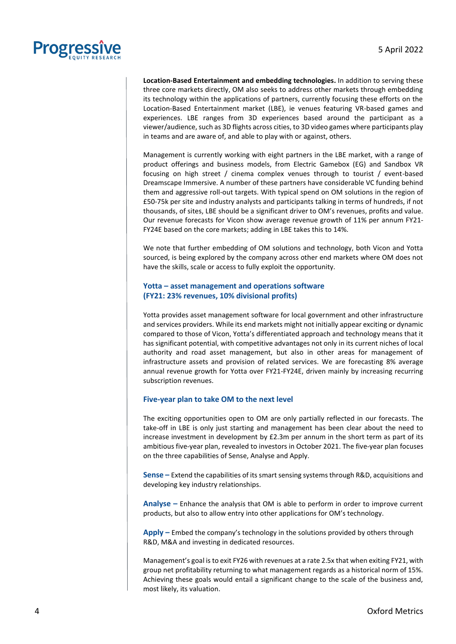

**Location-Based Entertainment and embedding technologies.** In addition to serving these three core markets directly, OM also seeks to address other markets through embedding its technology within the applications of partners, currently focusing these efforts on the Location-Based Entertainment market (LBE), ie venues featuring VR-based games and experiences. LBE ranges from 3D experiences based around the participant as a viewer/audience, such as 3D flights across cities, to 3D video games where participants play in teams and are aware of, and able to play with or against, others.

Management is currently working with eight partners in the LBE market, with a range of product offerings and business models, from Electric Gamebox (EG) and Sandbox VR focusing on high street / cinema complex venues through to tourist / event-based Dreamscape Immersive. A number of these partners have considerable VC funding behind them and aggressive roll-out targets. With typical spend on OM solutions in the region of £50-75k per site and industry analysts and participants talking in terms of hundreds, if not thousands, of sites, LBE should be a significant driver to OM's revenues, profits and value. Our revenue forecasts for Vicon show average revenue growth of 11% per annum FY21- FY24E based on the core markets; adding in LBE takes this to 14%.

We note that further embedding of OM solutions and technology, both Vicon and Yotta sourced, is being explored by the company across other end markets where OM does not have the skills, scale or access to fully exploit the opportunity.

#### **Yotta – asset management and operations software (FY21: 23% revenues, 10% divisional profits)**

Yotta provides asset management software for local government and other infrastructure and services providers. While its end markets might not initially appear exciting or dynamic compared to those of Vicon, Yotta's differentiated approach and technology means that it has significant potential, with competitive advantages not only in its current niches of local authority and road asset management, but also in other areas for management of infrastructure assets and provision of related services. We are forecasting 8% average annual revenue growth for Yotta over FY21-FY24E, driven mainly by increasing recurring subscription revenues.

#### **Five-year plan to take OM to the next level**

The exciting opportunities open to OM are only partially reflected in our forecasts. The take-off in LBE is only just starting and management has been clear about the need to increase investment in development by  $E2.3m$  per annum in the short term as part of its ambitious five-year plan, revealed to investors in October 2021. The five-year plan focuses on the three capabilities of Sense, Analyse and Apply.

**Sense –** Extend the capabilities of its smart sensing systems through R&D, acquisitions and developing key industry relationships.

**Analyse –** Enhance the analysis that OM is able to perform in order to improve current products, but also to allow entry into other applications for OM's technology.

**Apply –** Embed the company's technology in the solutions provided by others through R&D, M&A and investing in dedicated resources.

Management's goal is to exit FY26 with revenues at a rate 2.5x that when exiting FY21, with group net profitability returning to what management regards as a historical norm of 15%. Achieving these goals would entail a significant change to the scale of the business and, most likely, its valuation.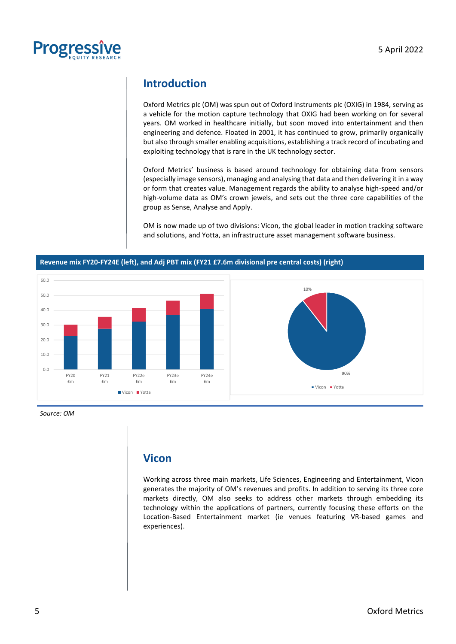

## <span id="page-4-0"></span>**Introduction**

Oxford Metrics plc (OM) was spun out of Oxford Instruments plc (OXIG) in 1984, serving as a vehicle for the motion capture technology that OXIG had been working on for several years. OM worked in healthcare initially, but soon moved into entertainment and then engineering and defence. Floated in 2001, it has continued to grow, primarily organically but also through smaller enabling acquisitions, establishing a track record of incubating and exploiting technology that is rare in the UK technology sector.

Oxford Metrics' business is based around technology for obtaining data from sensors (especially image sensors), managing and analysing that data and then delivering it in a way or form that creates value. Management regards the ability to analyse high-speed and/or high-volume data as OM's crown jewels, and sets out the three core capabilities of the group as Sense, Analyse and Apply.

OM is now made up of two divisions: Vicon, the global leader in motion tracking software and solutions, and Yotta, an infrastructure asset management software business.



#### **Revenue mix FY20-FY24E (left), and Adj PBT mix (FY21 £7.6m divisional pre central costs) (right)**

*Source: OM*

## <span id="page-4-1"></span>**Vicon**

Working across three main markets, Life Sciences, Engineering and Entertainment, Vicon generates the majority of OM's revenues and profits. In addition to serving its three core markets directly, OM also seeks to address other markets through embedding its technology within the applications of partners, currently focusing these efforts on the Location-Based Entertainment market (ie venues featuring VR-based games and experiences).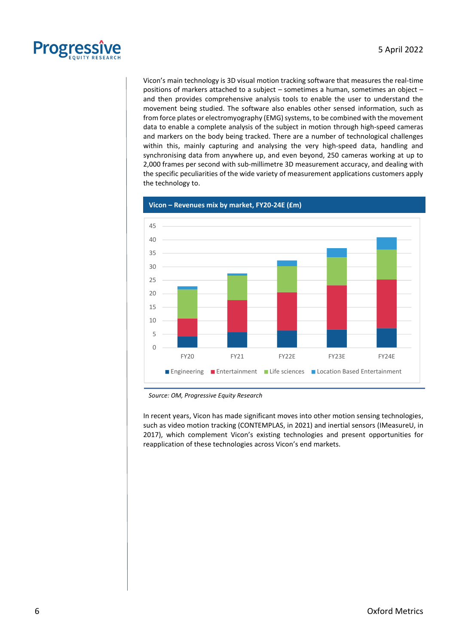

Vicon's main technology is 3D visual motion tracking software that measures the real-time positions of markers attached to a subject – sometimes a human, sometimes an object – and then provides comprehensive analysis tools to enable the user to understand the movement being studied. The software also enables other sensed information, such as from force plates or electromyography (EMG) systems, to be combined with the movement data to enable a complete analysis of the subject in motion through high-speed cameras and markers on the body being tracked. There are a number of technological challenges within this, mainly capturing and analysing the very high-speed data, handling and synchronising data from anywhere up, and even beyond, 250 cameras working at up to 2,000 frames per second with sub-millimetre 3D measurement accuracy, and dealing with the specific peculiarities of the wide variety of measurement applications customers apply the technology to.



**Vicon – Revenues mix by market, FY20-24E (£m)**

In recent years, Vicon has made significant moves into other motion sensing technologies, such as video motion tracking (CONTEMPLAS, in 2021) and inertial sensors (IMeasureU, in 2017), which complement Vicon's existing technologies and present opportunities for reapplication of these technologies across Vicon's end markets.

*Source: OM, Progressive Equity Research*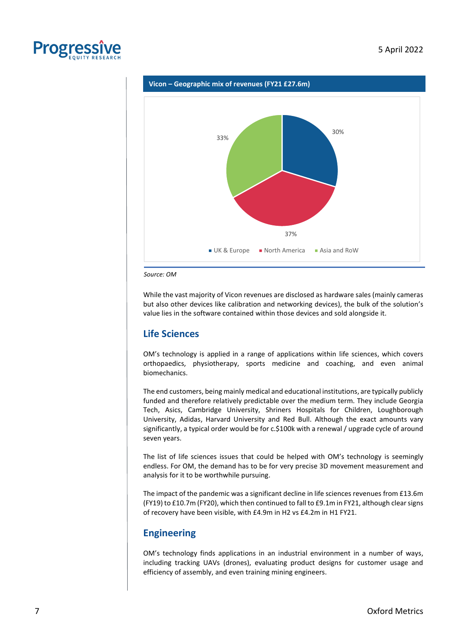





*Source: OM*

While the vast majority of Vicon revenues are disclosed as hardware sales (mainly cameras but also other devices like calibration and networking devices), the bulk of the solution's value lies in the software contained within those devices and sold alongside it.

### <span id="page-6-0"></span>**Life Sciences**

OM's technology is applied in a range of applications within life sciences, which covers orthopaedics, physiotherapy, sports medicine and coaching, and even animal biomechanics.

The end customers, being mainly medical and educational institutions, are typically publicly funded and therefore relatively predictable over the medium term. They include Georgia Tech, Asics, Cambridge University, Shriners Hospitals for Children, Loughborough University, Adidas, Harvard University and Red Bull. Although the exact amounts vary significantly, a typical order would be for c.\$100k with a renewal / upgrade cycle of around seven years.

The list of life sciences issues that could be helped with OM's technology is seemingly endless. For OM, the demand has to be for very precise 3D movement measurement and analysis for it to be worthwhile pursuing.

The impact of the pandemic was a significant decline in life sciences revenues from £13.6m (FY19) to £10.7m (FY20), which then continued to fall to £9.1m in FY21, although clear signs of recovery have been visible, with £4.9m in H2 vs £4.2m in H1 FY21.

### <span id="page-6-1"></span>**Engineering**

OM's technology finds applications in an industrial environment in a number of ways, including tracking UAVs (drones), evaluating product designs for customer usage and efficiency of assembly, and even training mining engineers.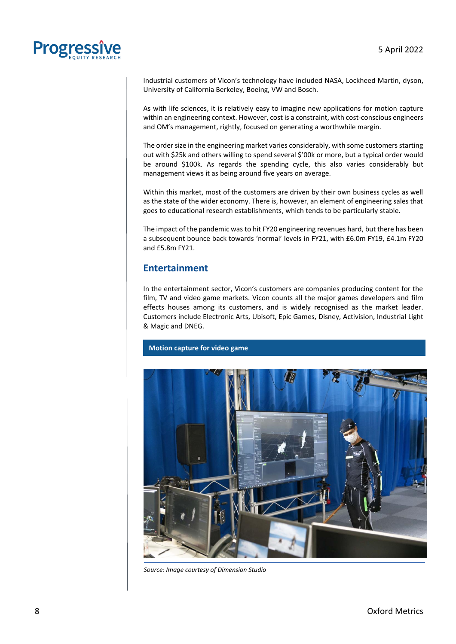

Industrial customers of Vicon's technology have included NASA, Lockheed Martin, dyson, University of California Berkeley, Boeing, VW and Bosch.

As with life sciences, it is relatively easy to imagine new applications for motion capture within an engineering context. However, cost is a constraint, with cost-conscious engineers and OM's management, rightly, focused on generating a worthwhile margin.

The order size in the engineering market varies considerably, with some customers starting out with \$25k and others willing to spend several \$'00k or more, but a typical order would be around \$100k. As regards the spending cycle, this also varies considerably but management views it as being around five years on average.

Within this market, most of the customers are driven by their own business cycles as well as the state of the wider economy. There is, however, an element of engineering sales that goes to educational research establishments, which tends to be particularly stable.

The impact of the pandemic was to hit FY20 engineering revenues hard, but there has been a subsequent bounce back towards 'normal' levels in FY21, with £6.0m FY19, £4.1m FY20 and £5.8m FY21.

### <span id="page-7-0"></span>**Entertainment**

In the entertainment sector, Vicon's customers are companies producing content for the film, TV and video game markets. Vicon counts all the major games developers and film effects houses among its customers, and is widely recognised as the market leader. Customers include Electronic Arts, Ubisoft, Epic Games, Disney, Activision, Industrial Light & Magic and DNEG.

#### **Motion capture for video game**



*Source: Image courtesy of Dimension Studio*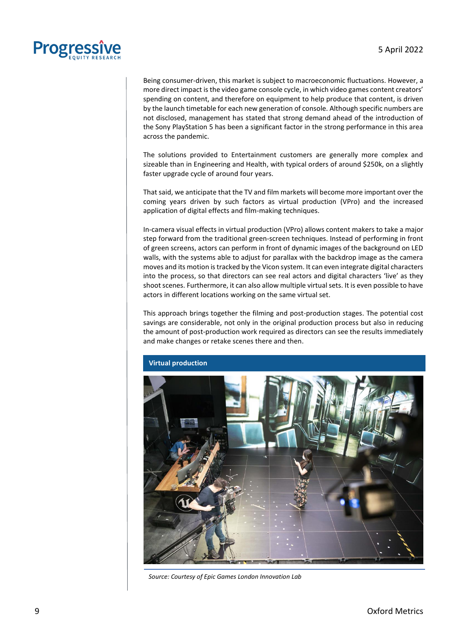

Being consumer-driven, this market is subject to macroeconomic fluctuations. However, a more direct impact is the video game console cycle, in which video games content creators' spending on content, and therefore on equipment to help produce that content, is driven by the launch timetable for each new generation of console. Although specific numbers are not disclosed, management has stated that strong demand ahead of the introduction of the Sony PlayStation 5 has been a significant factor in the strong performance in this area across the pandemic.

The solutions provided to Entertainment customers are generally more complex and sizeable than in Engineering and Health, with typical orders of around \$250k, on a slightly faster upgrade cycle of around four years.

That said, we anticipate that the TV and film markets will become more important over the coming years driven by such factors as virtual production (VPro) and the increased application of digital effects and film-making techniques.

In-camera visual effects in virtual production (VPro) allows content makers to take a major step forward from the traditional green-screen techniques. Instead of performing in front of green screens, actors can perform in front of dynamic images of the background on LED walls, with the systems able to adjust for parallax with the backdrop image as the camera moves and its motion is tracked by the Vicon system. It can even integrate digital characters into the process, so that directors can see real actors and digital characters 'live' as they shoot scenes. Furthermore, it can also allow multiple virtual sets. It is even possible to have actors in different locations working on the same virtual set.

This approach brings together the filming and post-production stages. The potential cost savings are considerable, not only in the original production process but also in reducing the amount of post-production work required as directors can see the results immediately and make changes or retake scenes there and then.



*Source: Courtesy of Epic Games London Innovation Lab*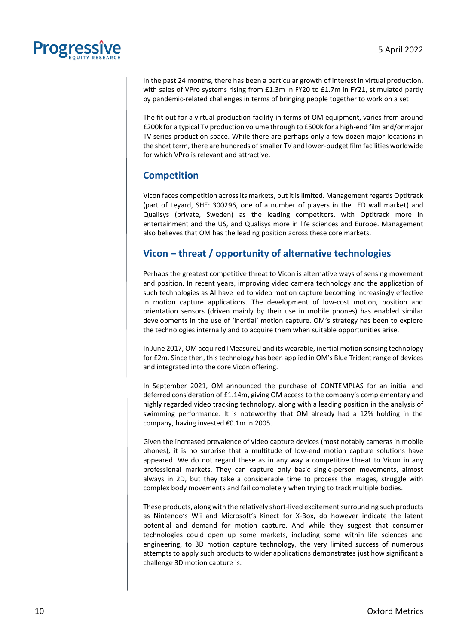

In the past 24 months, there has been a particular growth of interest in virtual production, with sales of VPro systems rising from £1.3m in FY20 to £1.7m in FY21, stimulated partly by pandemic-related challenges in terms of bringing people together to work on a set.

The fit out for a virtual production facility in terms of OM equipment, varies from around £200k for a typical TV production volume through to £500k for a high-end film and/or major TV series production space. While there are perhaps only a few dozen major locations in the short term, there are hundreds of smaller TV and lower-budget film facilities worldwide for which VPro is relevant and attractive.

### <span id="page-9-0"></span>**Competition**

Vicon faces competition across its markets, but it is limited. Management regards Optitrack (part of Leyard, SHE: 300296, one of a number of players in the LED wall market) and Qualisys (private, Sweden) as the leading competitors, with Optitrack more in entertainment and the US, and Qualisys more in life sciences and Europe. Management also believes that OM has the leading position across these core markets.

## <span id="page-9-1"></span>**Vicon – threat / opportunity of alternative technologies**

Perhaps the greatest competitive threat to Vicon is alternative ways of sensing movement and position. In recent years, improving video camera technology and the application of such technologies as AI have led to video motion capture becoming increasingly effective in motion capture applications. The development of low-cost motion, position and orientation sensors (driven mainly by their use in mobile phones) has enabled similar developments in the use of 'inertial' motion capture. OM's strategy has been to explore the technologies internally and to acquire them when suitable opportunities arise.

In June 2017, OM acquired IMeasureU and its wearable, inertial motion sensing technology for £2m. Since then, this technology has been applied in OM's Blue Trident range of devices and integrated into the core Vicon offering.

In September 2021, OM announced the purchase of CONTEMPLAS for an initial and deferred consideration of £1.14m, giving OM access to the company's complementary and highly regarded video tracking technology, along with a leading position in the analysis of swimming performance. It is noteworthy that OM already had a 12% holding in the company, having invested €0.1m in 2005.

Given the increased prevalence of video capture devices (most notably cameras in mobile phones), it is no surprise that a multitude of low-end motion capture solutions have appeared. We do not regard these as in any way a competitive threat to Vicon in any professional markets. They can capture only basic single-person movements, almost always in 2D, but they take a considerable time to process the images, struggle with complex body movements and fail completely when trying to track multiple bodies.

These products, along with the relatively short-lived excitement surrounding such products as Nintendo's Wii and Microsoft's Kinect for X-Box, do however indicate the latent potential and demand for motion capture. And while they suggest that consumer technologies could open up some markets, including some within life sciences and engineering, to 3D motion capture technology, the very limited success of numerous attempts to apply such products to wider applications demonstrates just how significant a challenge 3D motion capture is.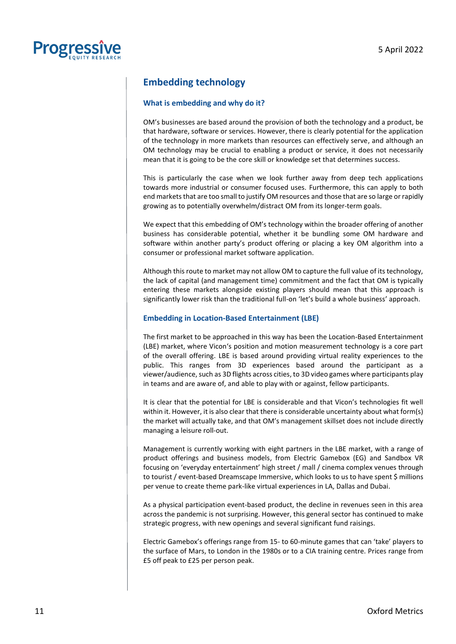

## <span id="page-10-0"></span>**Embedding technology**

#### **What is embedding and why do it?**

OM's businesses are based around the provision of both the technology and a product, be that hardware, software or services. However, there is clearly potential for the application of the technology in more markets than resources can effectively serve, and although an OM technology may be crucial to enabling a product or service, it does not necessarily mean that it is going to be the core skill or knowledge set that determines success.

This is particularly the case when we look further away from deep tech applications towards more industrial or consumer focused uses. Furthermore, this can apply to both end markets that are too small to justify OM resources and those that are so large or rapidly growing as to potentially overwhelm/distract OM from its longer-term goals.

We expect that this embedding of OM's technology within the broader offering of another business has considerable potential, whether it be bundling some OM hardware and software within another party's product offering or placing a key OM algorithm into a consumer or professional market software application.

Although this route to market may not allow OM to capture the full value of its technology, the lack of capital (and management time) commitment and the fact that OM is typically entering these markets alongside existing players should mean that this approach is significantly lower risk than the traditional full-on 'let's build a whole business' approach.

#### **Embedding in Location-Based Entertainment (LBE)**

The first market to be approached in this way has been the Location-Based Entertainment (LBE) market, where Vicon's position and motion measurement technology is a core part of the overall offering. LBE is based around providing virtual reality experiences to the public. This ranges from 3D experiences based around the participant as a viewer/audience, such as 3D flights across cities, to 3D video games where participants play in teams and are aware of, and able to play with or against, fellow participants.

It is clear that the potential for LBE is considerable and that Vicon's technologies fit well within it. However, it is also clear that there is considerable uncertainty about what form(s) the market will actually take, and that OM's management skillset does not include directly managing a leisure roll-out.

Management is currently working with eight partners in the LBE market, with a range of product offerings and business models, from Electric Gamebox (EG) and Sandbox VR focusing on 'everyday entertainment' high street / mall / cinema complex venues through to tourist / event-based Dreamscape Immersive, which looks to us to have spent \$ millions per venue to create theme park-like virtual experiences in LA, Dallas and Dubai.

As a physical participation event-based product, the decline in revenues seen in this area across the pandemic is not surprising. However, this general sector has continued to make strategic progress, with new openings and several significant fund raisings.

Electric Gamebox's offerings range from 15- to 60-minute games that can 'take' players to the surface of Mars, to London in the 1980s or to a CIA training centre. Prices range from £5 off peak to £25 per person peak.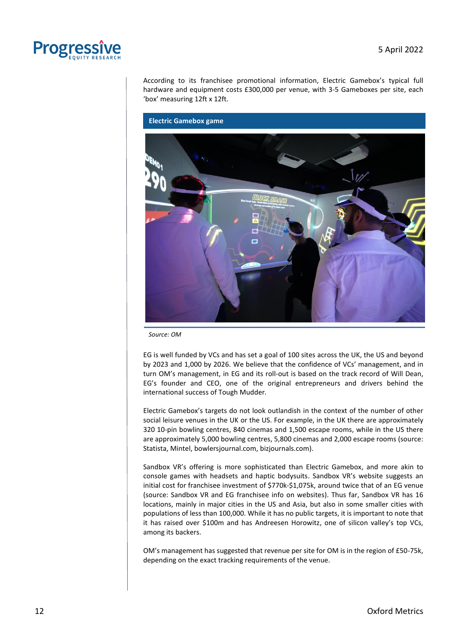

According to its franchisee promotional information, Electric Gamebox's typical full hardware and equipment costs £300,000 per venue, with 3-5 Gameboxes per site, each 'box' measuring 12ft x 12ft.

**Electric Gamebox game**

*Source: OM*

EG is well funded by VCs and has set a goal of 100 sites across the UK, the US and beyond by 2023 and 1,000 by 2026. We believe that the confidence of VCs' management, and in turn OM's management, in EG and its roll-out is based on the track record of Will Dean, EG's founder and CEO, one of the original entrepreneurs and drivers behind the international success of Tough Mudder.

Electric Gamebox's targets do not look outlandish in the context of the number of other social leisure venues in the UK or the US. For example, in the UK there are approximately 320 10-pin bowling centres, 840 cinemas and 1,500 escape rooms, while in the US there are approximately 5,000 bowling centres, 5,800 cinemas and 2,000 escape rooms (source: Statista, Mintel, bowlersjournal.com, bizjournals.com).

Sandbox VR's offering is more sophisticated than Electric Gamebox, and more akin to console games with headsets and haptic bodysuits. Sandbox VR's website suggests an initial cost for franchisee investment of \$770k-\$1,075k, around twice that of an EG venue (source: Sandbox VR and EG franchisee info on websites). Thus far, Sandbox VR has 16 locations, mainly in major cities in the US and Asia, but also in some smaller cities with populations of less than 100,000. While it has no public targets, it is important to note that it has raised over \$100m and has Andreesen Horowitz, one of silicon valley's top VCs, among its backers.

OM's management has suggested that revenue per site for OM is in the region of £50-75k, depending on the exact tracking requirements of the venue.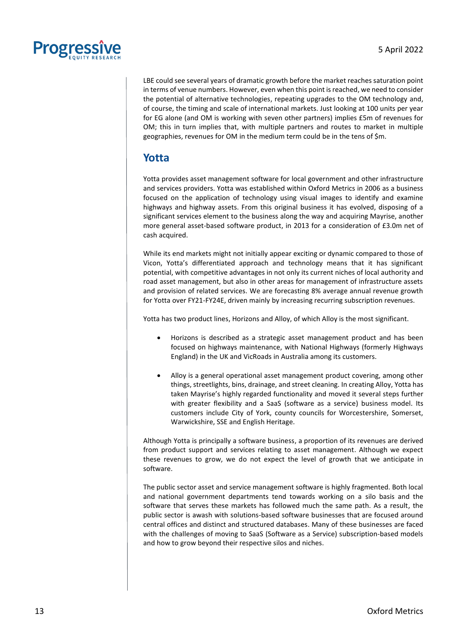

LBE could see several years of dramatic growth before the market reaches saturation point in terms of venue numbers. However, even when this point is reached, we need to consider the potential of alternative technologies, repeating upgrades to the OM technology and, of course, the timing and scale of international markets. Just looking at 100 units per year for EG alone (and OM is working with seven other partners) implies £5m of revenues for OM; this in turn implies that, with multiple partners and routes to market in multiple geographies, revenues for OM in the medium term could be in the tens of \$m.

## <span id="page-12-0"></span>**Yotta**

Yotta provides asset management software for local government and other infrastructure and services providers. Yotta was established within Oxford Metrics in 2006 as a business focused on the application of technology using visual images to identify and examine highways and highway assets. From this original business it has evolved, disposing of a significant services element to the business along the way and acquiring Mayrise, another more general asset-based software product, in 2013 for a consideration of £3.0m net of cash acquired.

While its end markets might not initially appear exciting or dynamic compared to those of Vicon, Yotta's differentiated approach and technology means that it has significant potential, with competitive advantages in not only its current niches of local authority and road asset management, but also in other areas for management of infrastructure assets and provision of related services. We are forecasting 8% average annual revenue growth for Yotta over FY21-FY24E, driven mainly by increasing recurring subscription revenues.

Yotta has two product lines, Horizons and Alloy, of which Alloy is the most significant.

- Horizons is described as a strategic asset management product and has been focused on highways maintenance, with National Highways (formerly Highways England) in the UK and VicRoads in Australia among its customers.
- Alloy is a general operational asset management product covering, among other things, streetlights, bins, drainage, and street cleaning. In creating Alloy, Yotta has taken Mayrise's highly regarded functionality and moved it several steps further with greater flexibility and a SaaS (software as a service) business model. Its customers include City of York, county councils for Worcestershire, Somerset, Warwickshire, SSE and English Heritage.

Although Yotta is principally a software business, a proportion of its revenues are derived from product support and services relating to asset management. Although we expect these revenues to grow, we do not expect the level of growth that we anticipate in software.

The public sector asset and service management software is highly fragmented. Both local and national government departments tend towards working on a silo basis and the software that serves these markets has followed much the same path. As a result, the public sector is awash with solutions-based software businesses that are focused around central offices and distinct and structured databases. Many of these businesses are faced with the challenges of moving to SaaS (Software as a Service) subscription-based models and how to grow beyond their respective silos and niches.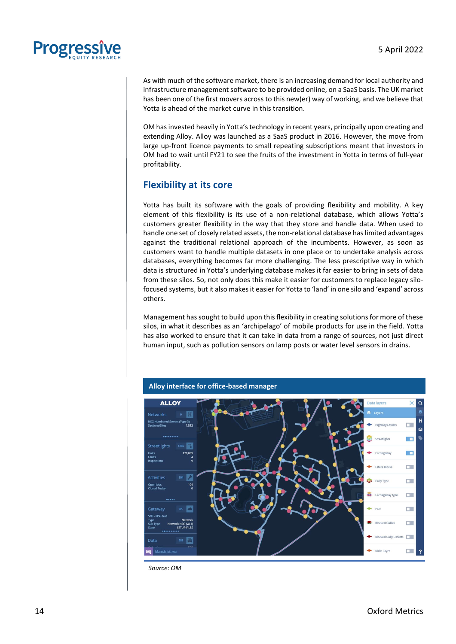

As with much of the software market, there is an increasing demand for local authority and infrastructure management software to be provided online, on a SaaS basis. The UK market has been one of the first movers across to this new(er) way of working, and we believe that Yotta is ahead of the market curve in this transition.

OM has invested heavily in Yotta's technology in recent years, principally upon creating and extending Alloy. Alloy was launched as a SaaS product in 2016. However, the move from large up-front licence payments to small repeating subscriptions meant that investors in OM had to wait until FY21 to see the fruits of the investment in Yotta in terms of full-year profitability.

### <span id="page-13-0"></span>**Flexibility at its core**

Yotta has built its software with the goals of providing flexibility and mobility. A key element of this flexibility is its use of a non-relational database, which allows Yotta's customers greater flexibility in the way that they store and handle data. When used to handle one set of closely related assets, the non-relational database has limited advantages against the traditional relational approach of the incumbents. However, as soon as customers want to handle multiple datasets in one place or to undertake analysis across databases, everything becomes far more challenging. The less prescriptive way in which data is structured in Yotta's underlying database makes it far easier to bring in sets of data from these silos. So, not only does this make it easier for customers to replace legacy silofocused systems, but it also makes it easier for Yotta to 'land' in one silo and 'expand' across others.

Management has sought to build upon this flexibility in creating solutions for more of these silos, in what it describes as an 'archipelago' of mobile products for use in the field. Yotta has also worked to ensure that it can take in data from a range of sources, not just direct human input, such as pollution sensors on lamp posts or water level sensors in drains.



*Source: OM*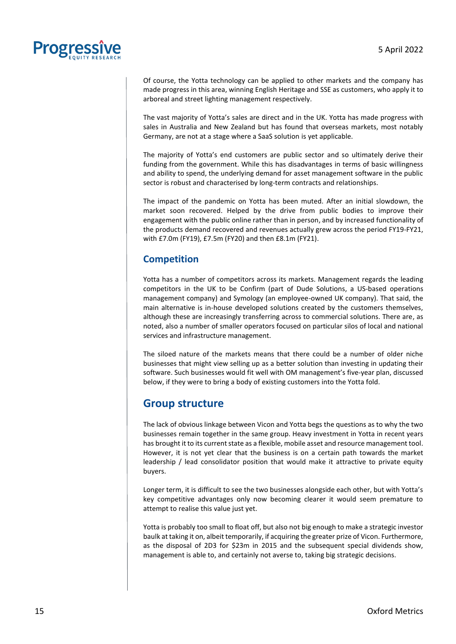

Of course, the Yotta technology can be applied to other markets and the company has made progress in this area, winning English Heritage and SSE as customers, who apply it to arboreal and street lighting management respectively.

The vast majority of Yotta's sales are direct and in the UK. Yotta has made progress with sales in Australia and New Zealand but has found that overseas markets, most notably Germany, are not at a stage where a SaaS solution is yet applicable.

The majority of Yotta's end customers are public sector and so ultimately derive their funding from the government. While this has disadvantages in terms of basic willingness and ability to spend, the underlying demand for asset management software in the public sector is robust and characterised by long-term contracts and relationships.

The impact of the pandemic on Yotta has been muted. After an initial slowdown, the market soon recovered. Helped by the drive from public bodies to improve their engagement with the public online rather than in person, and by increased functionality of the products demand recovered and revenues actually grew across the period FY19-FY21, with £7.0m (FY19), £7.5m (FY20) and then £8.1m (FY21).

### <span id="page-14-0"></span>**Competition**

Yotta has a number of competitors across its markets. Management regards the leading competitors in the UK to be Confirm (part of Dude Solutions, a US-based operations management company) and Symology (an employee-owned UK company). That said, the main alternative is in-house developed solutions created by the customers themselves, although these are increasingly transferring across to commercial solutions. There are, as noted, also a number of smaller operators focused on particular silos of local and national services and infrastructure management.

The siloed nature of the markets means that there could be a number of older niche businesses that might view selling up as a better solution than investing in updating their software. Such businesses would fit well with OM management's five-year plan, discussed below, if they were to bring a body of existing customers into the Yotta fold.

### <span id="page-14-1"></span>**Group structure**

The lack of obvious linkage between Vicon and Yotta begs the questions as to why the two businesses remain together in the same group. Heavy investment in Yotta in recent years has brought it to its current state as a flexible, mobile asset and resource management tool. However, it is not yet clear that the business is on a certain path towards the market leadership / lead consolidator position that would make it attractive to private equity buyers.

Longer term, it is difficult to see the two businesses alongside each other, but with Yotta's key competitive advantages only now becoming clearer it would seem premature to attempt to realise this value just yet.

Yotta is probably too small to float off, but also not big enough to make a strategic investor baulk at taking it on, albeit temporarily, if acquiring the greater prize of Vicon. Furthermore, as the disposal of 2D3 for \$23m in 2015 and the subsequent special dividends show, management is able to, and certainly not averse to, taking big strategic decisions.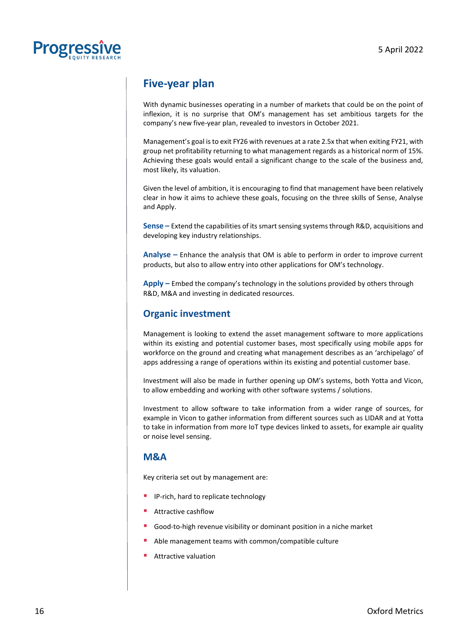

## <span id="page-15-0"></span>**Five-year plan**

With dynamic businesses operating in a number of markets that could be on the point of inflexion, it is no surprise that OM's management has set ambitious targets for the company's new five-year plan, revealed to investors in October 2021.

Management's goal is to exit FY26 with revenues at a rate 2.5x that when exiting FY21, with group net profitability returning to what management regards as a historical norm of 15%. Achieving these goals would entail a significant change to the scale of the business and, most likely, its valuation.

Given the level of ambition, it is encouraging to find that management have been relatively clear in how it aims to achieve these goals, focusing on the three skills of Sense, Analyse and Apply.

**Sense –** Extend the capabilities of its smart sensing systems through R&D, acquisitions and developing key industry relationships.

**Analyse –** Enhance the analysis that OM is able to perform in order to improve current products, but also to allow entry into other applications for OM's technology.

**Apply –** Embed the company's technology in the solutions provided by others through R&D, M&A and investing in dedicated resources.

### <span id="page-15-1"></span>**Organic investment**

Management is looking to extend the asset management software to more applications within its existing and potential customer bases, most specifically using mobile apps for workforce on the ground and creating what management describes as an 'archipelago' of apps addressing a range of operations within its existing and potential customer base.

Investment will also be made in further opening up OM's systems, both Yotta and Vicon, to allow embedding and working with other software systems / solutions.

Investment to allow software to take information from a wider range of sources, for example in Vicon to gather information from different sources such as LIDAR and at Yotta to take in information from more IoT type devices linked to assets, for example air quality or noise level sensing.

### <span id="page-15-2"></span>**M&A**

Key criteria set out by management are:

- IP-rich, hard to replicate technology
- Attractive cashflow
- Good-to-high revenue visibility or dominant position in a niche market
- Able management teams with common/compatible culture
- Attractive valuation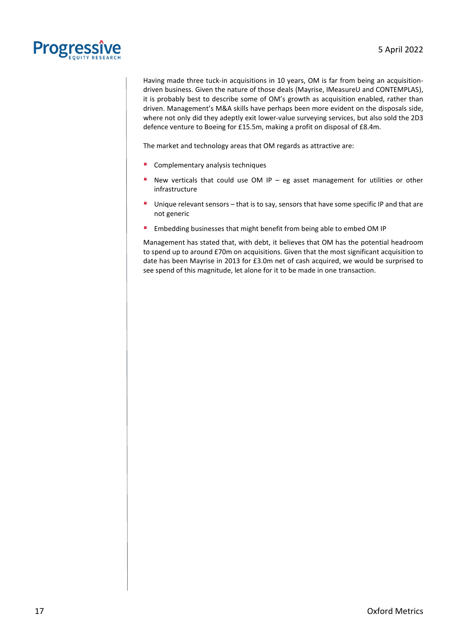

Having made three tuck-in acquisitions in 10 years, OM is far from being an acquisitiondriven business. Given the nature of those deals (Mayrise, IMeasureU and CONTEMPLAS), it is probably best to describe some of OM's growth as acquisition enabled, rather than driven. Management's M&A skills have perhaps been more evident on the disposals side, where not only did they adeptly exit lower-value surveying services, but also sold the 2D3 defence venture to Boeing for £15.5m, making a profit on disposal of £8.4m.

The market and technology areas that OM regards as attractive are:

- Complementary analysis techniques
- New verticals that could use OM IP eg asset management for utilities or other infrastructure
- **Unique relevant sensors that is to say, sensors that have some specific IP and that are** not generic
- **Embedding businesses that might benefit from being able to embed OM IP**

Management has stated that, with debt, it believes that OM has the potential headroom to spend up to around £70m on acquisitions. Given that the most significant acquisition to date has been Mayrise in 2013 for £3.0m net of cash acquired, we would be surprised to see spend of this magnitude, let alone for it to be made in one transaction.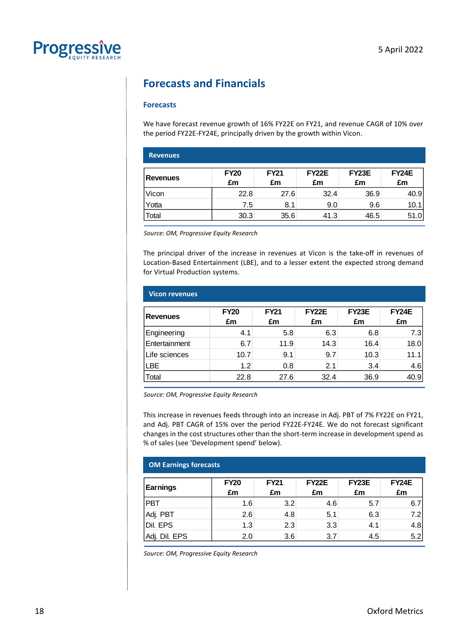

## <span id="page-17-0"></span>**Forecasts and Financials**

#### **Forecasts**

We have forecast revenue growth of 16% FY22E on FY21, and revenue CAGR of 10% over the period FY22E-FY24E, principally driven by the growth within Vicon.

| <b>Revenues</b> |                   |                   |                          |                    |                    |
|-----------------|-------------------|-------------------|--------------------------|--------------------|--------------------|
| <b>Revenues</b> | <b>FY20</b><br>£m | <b>FY21</b><br>£m | FY <sub>22</sub> E<br>£m | <b>FY23E</b><br>£m | <b>FY24E</b><br>£m |
| Vicon           | 22.8              | 27.6              | 32.4                     | 36.9               | 40.9               |
| Yotta           | 7.5               | 8.1               | 9.0                      | 9.6                | 10.1               |
| Total           | 30.3              | 35.6              | 41.3                     | 46.5               | 51.0               |

*Source: OM, Progressive Equity Research* 

The principal driver of the increase in revenues at Vicon is the take-off in revenues of Location-Based Entertainment (LBE), and to a lesser extent the expected strong demand for Virtual Production systems.

| <b>Vicon revenues</b> |                   |                   |                          |                    |                    |
|-----------------------|-------------------|-------------------|--------------------------|--------------------|--------------------|
| <b>Revenues</b>       | <b>FY20</b><br>£m | <b>FY21</b><br>£m | FY <sub>22</sub> E<br>£m | <b>FY23E</b><br>£m | <b>FY24E</b><br>£m |
| Engineering           | 4.1               | 5.8               | 6.3                      | 6.8                | 7.3                |
| Entertainment         | 6.7               | 11.9              | 14.3                     | 16.4               | 18.0               |
| Life sciences         | 10.7              | 9.1               | 9.7                      | 10.3               | 11.1               |
| LBE                   | 1.2               | 0.8               | 2.1                      | 3.4                | 4.6                |
| Total                 | 22.8              | 27.6              | 32.4                     | 36.9               | 40.9               |

*Source: OM, Progressive Equity Research*

This increase in revenues feeds through into an increase in Adj. PBT of 7% FY22E on FY21, and Adj. PBT CAGR of 15% over the period FY22E-FY24E. We do not forecast significant changes in the cost structures other than the short-term increase in development spend as % of sales (see 'Development spend' below).

| <b>OM Earnings forecasts</b> |                   |                   |                    |             |                    |  |  |  |
|------------------------------|-------------------|-------------------|--------------------|-------------|--------------------|--|--|--|
| <b>Earnings</b>              | <b>FY20</b><br>£m | <b>FY21</b><br>£m | <b>FY22E</b><br>£m | FY23E<br>£m | <b>FY24E</b><br>£m |  |  |  |
| PBT                          | 1.6               | 3.2               | 4.6                | 5.7         | 6.7                |  |  |  |
| Adj. PBT                     | 2.6               | 4.8               | 5.1                | 6.3         | 7.2                |  |  |  |
| Dil. EPS                     | 1.3               | 2.3               | 3.3                | 4.1         | 4.8                |  |  |  |
| Dil. EPS<br>Adj.             | 2.0               | 3.6               | 3.7                | 4.5         | 5.2                |  |  |  |

*Source: OM, Progressive Equity Research*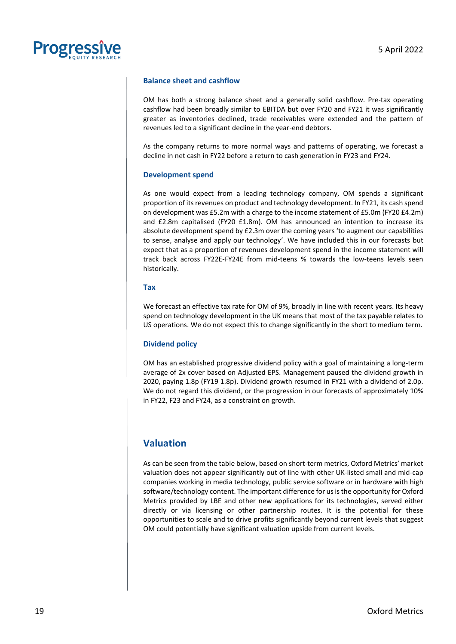

#### **Balance sheet and cashflow**

OM has both a strong balance sheet and a generally solid cashflow. Pre-tax operating cashflow had been broadly similar to EBITDA but over FY20 and FY21 it was significantly greater as inventories declined, trade receivables were extended and the pattern of revenues led to a significant decline in the year-end debtors.

As the company returns to more normal ways and patterns of operating, we forecast a decline in net cash in FY22 before a return to cash generation in FY23 and FY24.

#### **Development spend**

As one would expect from a leading technology company, OM spends a significant proportion of its revenues on product and technology development. In FY21, its cash spend on development was £5.2m with a charge to the income statement of £5.0m (FY20 £4.2m) and £2.8m capitalised (FY20 £1.8m). OM has announced an intention to increase its absolute development spend by £2.3m over the coming years 'to augment our capabilities to sense, analyse and apply our technology'. We have included this in our forecasts but expect that as a proportion of revenues development spend in the income statement will track back across FY22E-FY24E from mid-teens % towards the low-teens levels seen historically.

#### **Tax**

We forecast an effective tax rate for OM of 9%, broadly in line with recent years. Its heavy spend on technology development in the UK means that most of the tax payable relates to US operations. We do not expect this to change significantly in the short to medium term.

#### **Dividend policy**

OM has an established progressive dividend policy with a goal of maintaining a long-term average of 2x cover based on Adjusted EPS. Management paused the dividend growth in 2020, paying 1.8p (FY19 1.8p). Dividend growth resumed in FY21 with a dividend of 2.0p. We do not regard this dividend, or the progression in our forecasts of approximately 10% in FY22, F23 and FY24, as a constraint on growth.

### <span id="page-18-0"></span>**Valuation**

As can be seen from the table below, based on short-term metrics, Oxford Metrics' market valuation does not appear significantly out of line with other UK-listed small and mid-cap companies working in media technology, public service software or in hardware with high software/technology content. The important difference for us is the opportunity for Oxford Metrics provided by LBE and other new applications for its technologies, served either directly or via licensing or other partnership routes. It is the potential for these opportunities to scale and to drive profits significantly beyond current levels that suggest OM could potentially have significant valuation upside from current levels.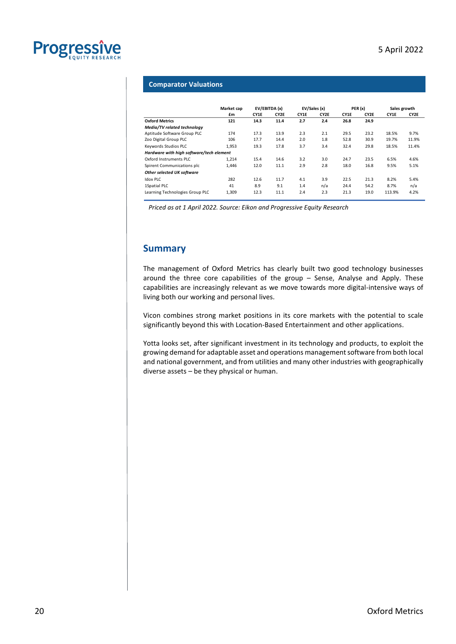

#### **Comparator Valuations**

|                                          | Market cap | EV/EBITDA (x) |      | EV/Sales (x) |      | PER(x) |      | Sales growth |       |
|------------------------------------------|------------|---------------|------|--------------|------|--------|------|--------------|-------|
|                                          | £m         | CY1E          | CY2E | CY1E         | CY2E | CY1E   | CY2E | CY1E         | CY2E  |
| <b>Oxford Metrics</b>                    | 121        | 14.3          | 11.4 | 2.7          | 2.4  | 26.8   | 24.9 |              |       |
| Media/TV related technology              |            |               |      |              |      |        |      |              |       |
| Aptitude Software Group PLC              | 174        | 17.3          | 13.9 | 2.3          | 2.1  | 29.5   | 23.2 | 18.5%        | 9.7%  |
| Zoo Digital Group PLC                    | 106        | 17.7          | 14.4 | 2.0          | 1.8  | 52.8   | 30.9 | 19.7%        | 11.9% |
| Keywords Studios PLC                     | 1.953      | 19.3          | 17.8 | 3.7          | 3.4  | 32.4   | 29.8 | 18.5%        | 11.4% |
| Hardware with high software/tech element |            |               |      |              |      |        |      |              |       |
| Oxford Instruments PLC                   | 1.214      | 15.4          | 14.6 | 3.2          | 3.0  | 24.7   | 23.5 | 6.5%         | 4.6%  |
| Spirent Communications plc               | 1,446      | 12.0          | 11.1 | 2.9          | 2.8  | 18.0   | 16.8 | 9.5%         | 5.1%  |
| Other selected UK software               |            |               |      |              |      |        |      |              |       |
| <b>Idox PLC</b>                          | 282        | 12.6          | 11.7 | 4.1          | 3.9  | 22.5   | 21.3 | 8.2%         | 5.4%  |
| 1Spatial PLC                             | 41         | 8.9           | 9.1  | 1.4          | n/a  | 24.4   | 54.2 | 8.7%         | n/a   |
| Learning Technologies Group PLC          | 1.309      | 12.3          | 11.1 | 2.4          | 2.3  | 21.3   | 19.0 | 113.9%       | 4.2%  |

*Priced as at 1 April 2022. Source: Eikon and Progressive Equity Research*

### <span id="page-19-0"></span>**Summary**

The management of Oxford Metrics has clearly built two good technology businesses around the three core capabilities of the group – Sense, Analyse and Apply. These capabilities are increasingly relevant as we move towards more digital-intensive ways of living both our working and personal lives.

Vicon combines strong market positions in its core markets with the potential to scale significantly beyond this with Location-Based Entertainment and other applications.

Yotta looks set, after significant investment in its technology and products, to exploit the growing demand for adaptable asset and operations management software from both local and national government, and from utilities and many other industries with geographically diverse assets – be they physical or human.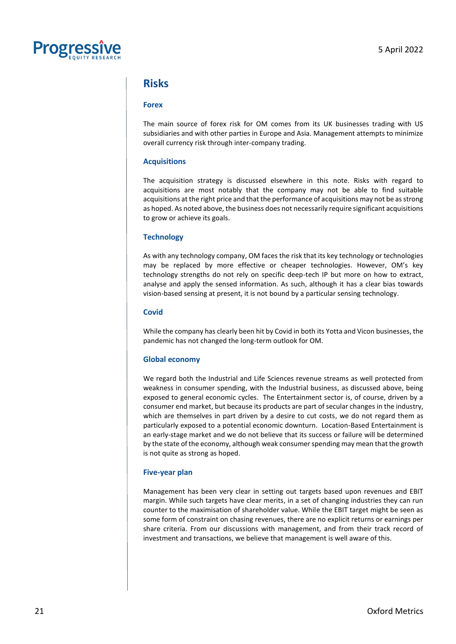

### <span id="page-20-0"></span>**Risks**

#### **Forex**

The main source of forex risk for OM comes from its UK businesses trading with US subsidiaries and with other parties in Europe and Asia. Management attempts to minimize overall currency risk through inter-company trading.

#### **Acquisitions**

The acquisition strategy is discussed elsewhere in this note. Risks with regard to acquisitions are most notably that the company may not be able to find suitable acquisitions at the right price and that the performance of acquisitions may not be as strong as hoped. As noted above, the business does not necessarily require significant acquisitions to grow or achieve its goals.

#### **Technology**

As with any technology company, OM faces the risk that its key technology or technologies may be replaced by more effective or cheaper technologies. However, OM's key technology strengths do not rely on specific deep-tech IP but more on how to extract, analyse and apply the sensed information. As such, although it has a clear bias towards vision-based sensing at present, it is not bound by a particular sensing technology.

#### **Covid**

While the company has clearly been hit by Covid in both its Yotta and Vicon businesses, the pandemic has not changed the long-term outlook for OM.

#### **Global economy**

We regard both the Industrial and Life Sciences revenue streams as well protected from weakness in consumer spending, with the Industrial business, as discussed above, being exposed to general economic cycles. The Entertainment sector is, of course, driven by a consumer end market, but because its products are part of secular changes in the industry, which are themselves in part driven by a desire to cut costs, we do not regard them as particularly exposed to a potential economic downturn. Location-Based Entertainment is an early-stage market and we do not believe that its success or failure will be determined by the state of the economy, although weak consumer spending may mean that the growth is not quite as strong as hoped.

#### **Five-year plan**

Management has been very clear in setting out targets based upon revenues and EBIT margin. While such targets have clear merits, in a set of changing industries they can run counter to the maximisation of shareholder value. While the EBIT target might be seen as some form of constraint on chasing revenues, there are no explicit returns or earnings per share criteria. From our discussions with management, and from their track record of investment and transactions, we believe that management is well aware of this.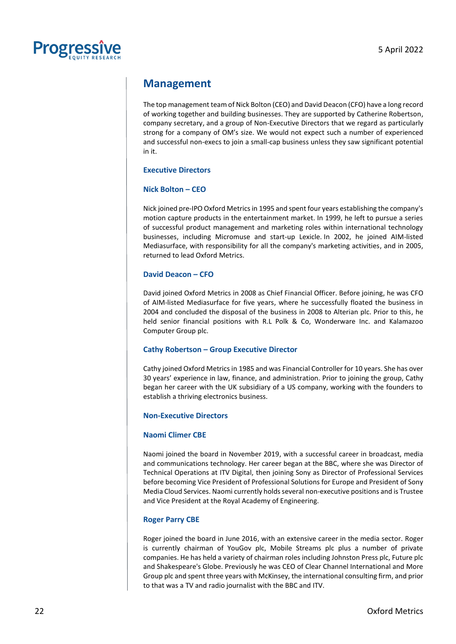

## <span id="page-21-0"></span>**Management**

The top management team of Nick Bolton (CEO) and David Deacon (CFO) have a long record of working together and building businesses. They are supported by Catherine Robertson, company secretary, and a group of Non-Executive Directors that we regard as particularly strong for a company of OM's size. We would not expect such a number of experienced and successful non-execs to join a small-cap business unless they saw significant potential in it.

#### **Executive Directors**

#### **Nick Bolton – CEO**

Nick joined pre-IPO Oxford Metrics in 1995 and spent four years establishing the company's motion capture products in the entertainment market. In 1999, he left to pursue a series of successful product management and marketing roles within international technology businesses, including Micromuse and start-up Lexicle. In 2002, he joined AIM-listed Mediasurface, with responsibility for all the company's marketing activities, and in 2005, returned to lead Oxford Metrics.

#### **David Deacon – CFO**

David joined Oxford Metrics in 2008 as Chief Financial Officer. Before joining, he was CFO of AIM-listed Mediasurface for five years, where he successfully floated the business in 2004 and concluded the disposal of the business in 2008 to Alterian plc. Prior to this, he held senior financial positions with R.L Polk & Co, Wonderware Inc. and Kalamazoo Computer Group plc.

#### **Cathy Robertson – Group Executive Director**

Cathy joined Oxford Metrics in 1985 and was Financial Controller for 10 years. She has over 30 years' experience in law, finance, and administration. Prior to joining the group, Cathy began her career with the UK subsidiary of a US company, working with the founders to establish a thriving electronics business.

#### **Non-Executive Directors**

#### **Naomi Climer CBE**

Naomi joined the board in November 2019, with a successful career in broadcast, media and communications technology. Her career began at the BBC, where she was Director of Technical Operations at ITV Digital, then joining Sony as Director of Professional Services before becoming Vice President of Professional Solutions for Europe and President of Sony Media Cloud Services. Naomi currently holds several non-executive positions and is Trustee and Vice President at the Royal Academy of Engineering.

#### **Roger Parry CBE**

Roger joined the board in June 2016, with an extensive career in the media sector. Roger is currently chairman of YouGov plc, Mobile Streams plc plus a number of private companies. He has held a variety of chairman roles including Johnston Press plc, Future plc and Shakespeare's Globe. Previously he was CEO of Clear Channel International and More Group plc and spent three years with McKinsey, the international consulting firm, and prior to that was a TV and radio journalist with the BBC and ITV.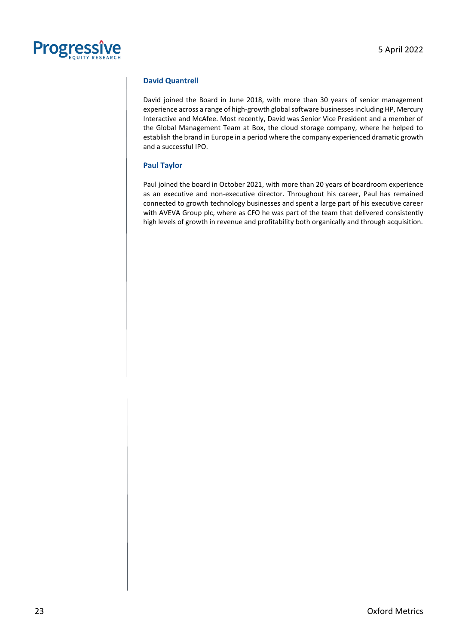

#### **David Quantrell**

David joined the Board in June 2018, with more than 30 years of senior management experience across a range of high-growth global software businesses including HP, Mercury Interactive and McAfee. Most recently, David was Senior Vice President and a member of the Global Management Team at Box, the cloud storage company, where he helped to establish the brand in Europe in a period where the company experienced dramatic growth and a successful IPO.

#### **Paul Taylor**

Paul joined the board in October 2021, with more than 20 years of boardroom experience as an executive and non-executive director. Throughout his career, Paul has remained connected to growth technology businesses and spent a large part of his executive career with AVEVA Group plc, where as CFO he was part of the team that delivered consistently high levels of growth in revenue and profitability both organically and through acquisition.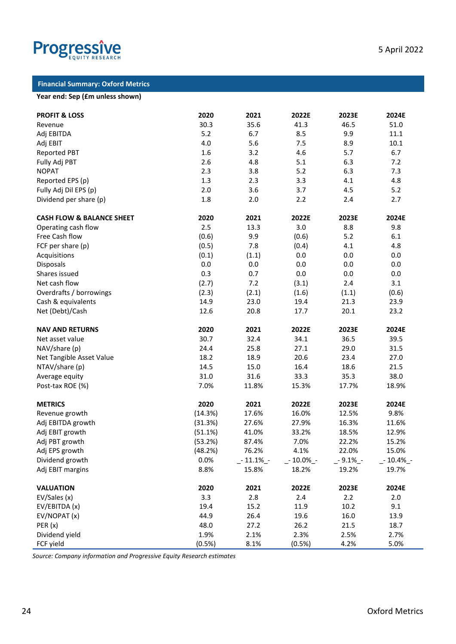

#### **Financial Summary: Oxford Metrics**

#### **Year end: Sep (£m unless shown)**

| <b>PROFIT &amp; LOSS</b>             | 2020    | 2021        | 2022E       | 2023E      | 2024E      |
|--------------------------------------|---------|-------------|-------------|------------|------------|
| Revenue                              | 30.3    | 35.6        | 41.3        | 46.5       | 51.0       |
| Adj EBITDA                           | 5.2     | 6.7         | 8.5         | 9.9        | 11.1       |
| Adj EBIT                             | 4.0     | 5.6         | 7.5         | 8.9        | 10.1       |
| <b>Reported PBT</b>                  | 1.6     | 3.2         | 4.6         | 5.7        | 6.7        |
| Fully Adj PBT                        | 2.6     | 4.8         | 5.1         | 6.3        | 7.2        |
| <b>NOPAT</b>                         | 2.3     | 3.8         | 5.2         | 6.3        | 7.3        |
| Reported EPS (p)                     | 1.3     | 2.3         | 3.3         | 4.1        | 4.8        |
| Fully Adj Dil EPS (p)                | 2.0     | 3.6         | 3.7         | 4.5        | 5.2        |
| Dividend per share (p)               | 1.8     | 2.0         | 2.2         | 2.4        | 2.7        |
| <b>CASH FLOW &amp; BALANCE SHEET</b> | 2020    | 2021        | 2022E       | 2023E      | 2024E      |
| Operating cash flow                  | 2.5     | 13.3        | 3.0         | 8.8        | 9.8        |
| Free Cash flow                       | (0.6)   | 9.9         | (0.6)       | 5.2        | 6.1        |
| FCF per share (p)                    | (0.5)   | 7.8         | (0.4)       | 4.1        | 4.8        |
| Acquisitions                         | (0.1)   | (1.1)       | 0.0         | 0.0        | 0.0        |
| Disposals                            | 0.0     | 0.0         | 0.0         | 0.0        | 0.0        |
| Shares issued                        | 0.3     | 0.7         | 0.0         | 0.0        | 0.0        |
| Net cash flow                        | (2.7)   | 7.2         | (3.1)       | 2.4        | 3.1        |
| Overdrafts / borrowings              | (2.3)   | (2.1)       | (1.6)       | (1.1)      | (0.6)      |
| Cash & equivalents                   | 14.9    | 23.0        | 19.4        | 21.3       | 23.9       |
| Net (Debt)/Cash                      | 12.6    | 20.8        | 17.7        | 20.1       | 23.2       |
| <b>NAV AND RETURNS</b>               | 2020    | 2021        | 2022E       | 2023E      | 2024E      |
| Net asset value                      | 30.7    | 32.4        | 34.1        | 36.5       | 39.5       |
| NAV/share (p)                        | 24.4    | 25.8        | 27.1        | 29.0       | 31.5       |
| Net Tangible Asset Value             | 18.2    | 18.9        | 20.6        | 23.4       | 27.0       |
| NTAV/share (p)                       | 14.5    | 15.0        | 16.4        | 18.6       | 21.5       |
| Average equity                       | 31.0    | 31.6        | 33.3        | 35.3       | 38.0       |
| Post-tax ROE (%)                     | 7.0%    | 11.8%       | 15.3%       | 17.7%      | 18.9%      |
| <b>METRICS</b>                       | 2020    | 2021        | 2022E       | 2023E      | 2024E      |
| Revenue growth                       | (14.3%) | 17.6%       | 16.0%       | 12.5%      | 9.8%       |
| Adj EBITDA growth                    | (31.3%) | 27.6%       | 27.9%       | 16.3%      | 11.6%      |
| Adj EBIT growth                      | (51.1%) | 41.0%       | 33.2%       | 18.5%      | 12.9%      |
| Adj PBT growth                       | (53.2%) | 87.4%       | 7.0%        | 22.2%      | 15.2%      |
| Adj EPS growth                       | (48.2%) | 76.2%       | 4.1%        | 22.0%      | 15.0%      |
| Dividend growth                      | 0.0%    | $-11.1\%$ - | $-10.0\%$ - | $-9.1\%$ - | _- 10.4%_- |
| Adj EBIT margins                     | 8.8%    | 15.8%       | 18.2%       | 19.2%      | 19.7%      |
| <b>VALUATION</b>                     | 2020    | 2021        | 2022E       | 2023E      | 2024E      |
| EV/Sales (x)                         | 3.3     | 2.8         | 2.4         | 2.2        | 2.0        |
| EV/EBITDA (x)                        | 19.4    | 15.2        | 11.9        | 10.2       | 9.1        |
| EV/NOPAT (x)                         | 44.9    | 26.4        | 19.6        | 16.0       | 13.9       |
| PER(x)                               | 48.0    | 27.2        | 26.2        | 21.5       | 18.7       |
| Dividend yield                       | 1.9%    | 2.1%        | 2.3%        | 2.5%       | 2.7%       |
| FCF yield                            | (0.5%)  | 8.1%        | (0.5%)      | 4.2%       | 5.0%       |

*Source: Company information and Progressive Equity Research estimates*